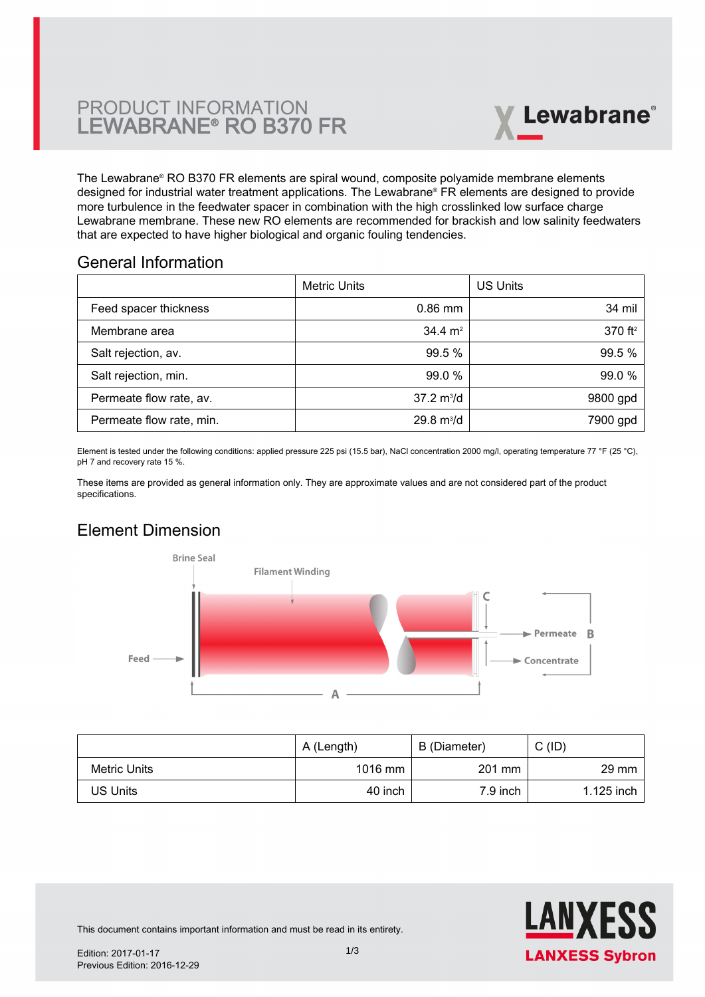# PRODUCT INFORMATION LEWABRANE® RO B370 FR



The Lewabrane® RO B370 FR elements are spiral wound, composite polyamide membrane elements designed for industrial water treatment applications. The Lewabrane® FR elements are designed to provide more turbulence in the feedwater spacer in combination with the high crosslinked low surface charge [Lewabrane membrane. These new RO elements are recommended for brackish and low salinity feedwaters](https://www.pureaqua.com/lanxess-lewabrane-b370-fr-membrane/) that are expected to have higher biological and organic fouling tendencies.

## General Information

|                          | Metric Units                | <b>US Units</b>     |
|--------------------------|-----------------------------|---------------------|
| Feed spacer thickness    | $0.86$ mm                   | 34 mil              |
| Membrane area            | $34.4 \text{ m}^2$          | 370 ft <sup>2</sup> |
| Salt rejection, av.      | 99.5 %                      | 99.5 %              |
| Salt rejection, min.     | 99.0 %                      | 99.0 %              |
| Permeate flow rate, av.  | $37.2 \text{ m}^3/\text{d}$ | 9800 gpd            |
| Permeate flow rate, min. | $29.8 \text{ m}^3/\text{d}$ | 7900 gpd            |

Element is tested under the following conditions: applied pressure 225 psi (15.5 bar), NaCl concentration 2000 mg/l, operating temperature 77 °F (25 °C), pH 7 and recovery rate 15 %.

These items are provided as general information only. They are approximate values and are not considered part of the product specifications.

# Element Dimension



|              | A (Length) | B (Diameter) | C(ID)           |
|--------------|------------|--------------|-----------------|
| Metric Units | 1016 mm    | 201 mm       | $29 \text{ mm}$ |
| US Units     | 40 inch    | $7.9$ inch   | $1.125$ inch    |



This document contains important information and must be read in its entirety.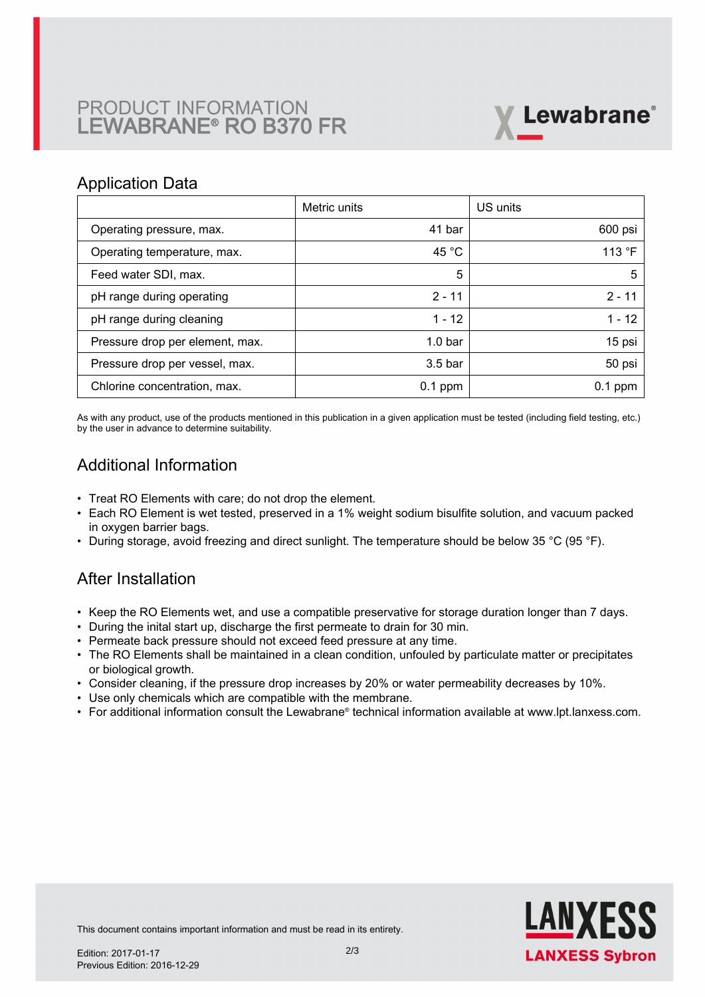# PRODUCT INFORMATION LEWABRANE® RO B370 FR



### Application Data

|                                 | Metric units       | US units  |
|---------------------------------|--------------------|-----------|
| Operating pressure, max.        | 41 bar             | 600 psi   |
| Operating temperature, max.     | 45 °C              | 113 °F    |
| Feed water SDI, max.            | 5                  | 5         |
| pH range during operating       | $2 - 11$           | $2 - 11$  |
| pH range during cleaning        | $1 - 12$           | $1 - 12$  |
| Pressure drop per element, max. | 1.0 <sub>bar</sub> | 15 psi    |
| Pressure drop per vessel, max.  | 3.5 <sub>bar</sub> | 50 psi    |
| Chlorine concentration, max.    | $0.1$ ppm          | $0.1$ ppm |

As with any product, use of the products mentioned in this publication in a given application must be tested (including field testing, etc.) by the user in advance to determine suitability.

# Additional Information

- Treat RO Elements with care; do not drop the element.
- Each RO Element is wet tested, preserved in a 1% weight sodium bisulfite solution, and vacuum packed in oxygen barrier bags.
- During storage, avoid freezing and direct sunlight. The temperature should be below 35 °C (95 °F).

## After Installation

- Keep the RO Elements wet, and use a compatible preservative for storage duration longer than 7 days.
- During the inital start up, discharge the first permeate to drain for 30 min.
- Permeate back pressure should not exceed feed pressure at any time.
- The RO Elements shall be maintained in a clean condition, unfouled by particulate matter or precipitates or biological growth.
- Consider cleaning, if the pressure drop increases by 20% or water permeability decreases by 10%.
- Use only chemicals which are compatible with the membrane.
- For additional information consult the Lewabrane® technical information available at www.lpt.lanxess.com.



This document contains important information and must be read in its entirety.